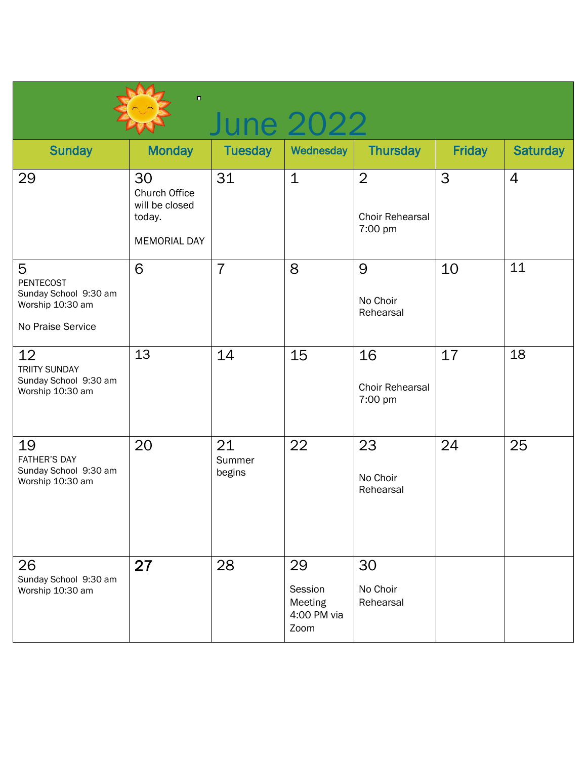| $\blacksquare$<br>June 2022                                                             |                                                                               |                        |                                                 |                                                     |               |                 |  |  |  |
|-----------------------------------------------------------------------------------------|-------------------------------------------------------------------------------|------------------------|-------------------------------------------------|-----------------------------------------------------|---------------|-----------------|--|--|--|
| <b>Sunday</b>                                                                           | <b>Monday</b>                                                                 | <b>Tuesday</b>         | Wednesday                                       | <b>Thursday</b>                                     | <b>Friday</b> | <b>Saturday</b> |  |  |  |
| 29                                                                                      | 30<br><b>Church Office</b><br>will be closed<br>today.<br><b>MEMORIAL DAY</b> | 31                     | $\mathbf 1$                                     | $\overline{2}$<br><b>Choir Rehearsal</b><br>7:00 pm | 3             | $\overline{4}$  |  |  |  |
| 5<br><b>PENTECOST</b><br>Sunday School 9:30 am<br>Worship 10:30 am<br>No Praise Service | 6                                                                             | $\overline{7}$         | 8                                               | 9<br>No Choir<br>Rehearsal                          | 10            | 11              |  |  |  |
| 12 <sup>2</sup><br><b>TRIITY SUNDAY</b><br>Sunday School 9:30 am<br>Worship 10:30 am    | 13                                                                            | 14                     | 15                                              | 16<br>Choir Rehearsal<br>7:00 pm                    | 17            | 18              |  |  |  |
| 19<br><b>FATHER'S DAY</b><br>Sunday School 9:30 am<br>Worship 10:30 am                  | 20                                                                            | 21<br>Summer<br>begins | 22                                              | 23<br>No Choir<br>Rehearsal                         | 24            | 25              |  |  |  |
| 26<br>Sunday School 9:30 am<br>Worship 10:30 am                                         | 27                                                                            | 28                     | 29<br>Session<br>Meeting<br>4:00 PM via<br>Zoom | 30<br>No Choir<br>Rehearsal                         |               |                 |  |  |  |